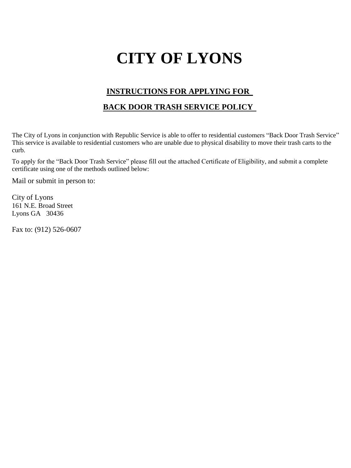## **CITY OF LYONS**

## **INSTRUCTIONS FOR APPLYING FOR**

## **BACK DOOR TRASH SERVICE POLICY**

The City of Lyons in conjunction with Republic Service is able to offer to residential customers "Back Door Trash Service" This service is available to residential customers who are unable due to physical disability to move their trash carts to the curb.

To apply for the "Back Door Trash Service" please fill out the attached Certificate of Eligibility, and submit a complete certificate using one of the methods outlined below:

Mail or submit in person to:

City of Lyons 161 N.E. Broad Street Lyons GA 30436

Fax to: (912) 526-0607